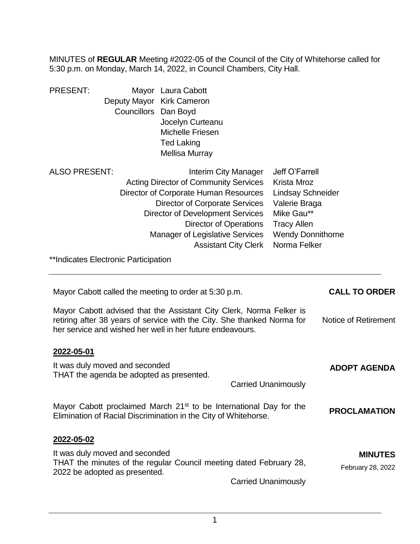MINUTES of **REGULAR** Meeting #2022-05 of the Council of the City of Whitehorse called for 5:30 p.m. on Monday, March 14, 2022, in Council Chambers, City Hall.

| <b>PRESENT:</b> |                           | Mayor Laura Cabott    |
|-----------------|---------------------------|-----------------------|
|                 | Deputy Mayor Kirk Cameron |                       |
|                 | Councillors Dan Boyd      |                       |
|                 |                           | Jocelyn Curteanu      |
|                 |                           | Michelle Friesen      |
|                 |                           | <b>Ted Laking</b>     |
|                 |                           | <b>Mellisa Murray</b> |
| AI SO PRESENT:  |                           | Interim City Man      |

| ALSO PRESENT: | <b>Interim City Manager</b>                  | Jeff O'Farrell           |
|---------------|----------------------------------------------|--------------------------|
|               | <b>Acting Director of Community Services</b> | Krista Mroz              |
|               | Director of Corporate Human Resources        | <b>Lindsay Schneider</b> |
|               | Director of Corporate Services               | Valerie Braga            |
|               | <b>Director of Development Services</b>      | Mike Gau**               |
|               | <b>Director of Operations</b>                | <b>Tracy Allen</b>       |
|               | <b>Manager of Legislative Services</b>       | <b>Wendy Donnithorne</b> |
|               | <b>Assistant City Clerk Norma Felker</b>     |                          |
|               |                                              |                          |

\*\*Indicates Electronic Participation

| Mayor Cabott called the meeting to order at 5:30 p.m.                                                                                                                                                       | <b>CALL TO ORDER</b>                |
|-------------------------------------------------------------------------------------------------------------------------------------------------------------------------------------------------------------|-------------------------------------|
| Mayor Cabott advised that the Assistant City Clerk, Norma Felker is<br>retiring after 38 years of service with the City. She thanked Norma for<br>her service and wished her well in her future endeavours. | Notice of Retirement                |
| 2022-05-01                                                                                                                                                                                                  |                                     |
| It was duly moved and seconded<br>THAT the agenda be adopted as presented.                                                                                                                                  | <b>ADOPT AGENDA</b>                 |
| <b>Carried Unanimously</b>                                                                                                                                                                                  |                                     |
| Mayor Cabott proclaimed March 21 <sup>st</sup> to be International Day for the<br>Elimination of Racial Discrimination in the City of Whitehorse.                                                           | <b>PROCLAMATION</b>                 |
| 2022-05-02                                                                                                                                                                                                  |                                     |
| It was duly moved and seconded<br>THAT the minutes of the regular Council meeting dated February 28,<br>2022 be adopted as presented.                                                                       | <b>MINUTES</b><br>February 28, 2022 |
| <b>Carried Unanimously</b>                                                                                                                                                                                  |                                     |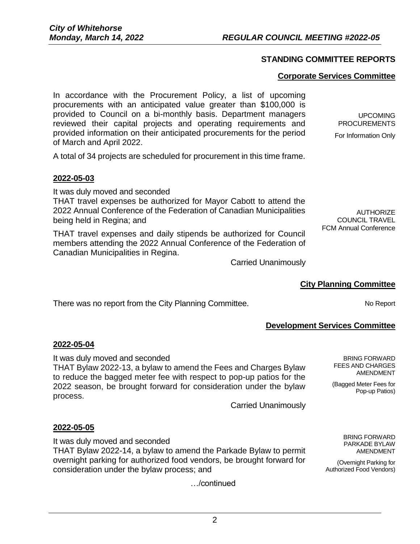# **STANDING COMMITTEE REPORTS**

#### **Corporate Services Committee**

In accordance with the Procurement Policy, a list of upcoming procurements with an anticipated value greater than \$100,000 is provided to Council on a bi-monthly basis. Department managers reviewed their capital projects and operating requirements and provided information on their anticipated procurements for the period of March and April 2022.

A total of 34 projects are scheduled for procurement in this time frame.

#### **2022-05-03**

It was duly moved and seconded

THAT travel expenses be authorized for Mayor Cabott to attend the 2022 Annual Conference of the Federation of Canadian Municipalities being held in Regina; and

THAT travel expenses and daily stipends be authorized for Council members attending the 2022 Annual Conference of the Federation of Canadian Municipalities in Regina.

Carried Unanimously

## **City Planning Committee**

There was no report from the City Planning Committee. No Report No Report

# **Development Services Committee**

#### **2022-05-04**

It was duly moved and seconded THAT Bylaw 2022-13, a bylaw to amend the Fees and Charges Bylaw to reduce the bagged meter fee with respect to pop-up patios for the 2022 season, be brought forward for consideration under the bylaw process.

Carried Unanimously

## **2022-05-05**

It was duly moved and seconded THAT Bylaw 2022-14, a bylaw to amend the Parkade Bylaw to permit overnight parking for authorized food vendors, be brought forward for consideration under the bylaw process; and

…/continued

BRING FORWARD PARKADE BYLAW AMENDMENT

BRING FORWARD FEES AND CHARGES AMENDMENT

(Bagged Meter Fees for Pop-up Patios)

(Overnight Parking for Authorized Food Vendors)

UPCOMING PROCUREMENTS For Information Only

**AUTHORIZE** COUNCIL TRAVEL FCM Annual Conference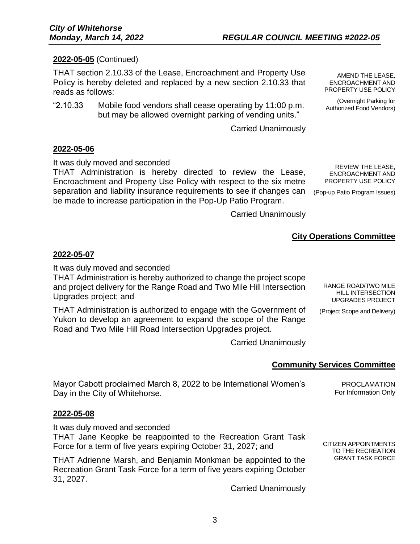## **2022-05-05** (Continued)

THAT section 2.10.33 of the Lease, Encroachment and Property Use Policy is hereby deleted and replaced by a new section 2.10.33 that reads as follows:

"2.10.33 Mobile food vendors shall cease operating by 11:00 p.m. but may be allowed overnight parking of vending units."

Carried Unanimously

#### **2022-05-06**

It was duly moved and seconded

THAT Administration is hereby directed to review the Lease, Encroachment and Property Use Policy with respect to the six metre separation and liability insurance requirements to see if changes can be made to increase participation in the Pop-Up Patio Program.

REVIEW THE LEASE, ENCROACHMENT AND PROPERTY USE POLICY

AMEND THE LEASE, ENCROACHMENT AND PROPERTY USE POLICY (Overnight Parking for Authorized Food Vendors)

(Pop-up Patio Program Issues)

Carried Unanimously

# **City Operations Committee**

#### **2022-05-07**

It was duly moved and seconded

THAT Administration is hereby authorized to change the project scope and project delivery for the Range Road and Two Mile Hill Intersection Upgrades project; and

THAT Administration is authorized to engage with the Government of Yukon to develop an agreement to expand the scope of the Range Road and Two Mile Hill Road Intersection Upgrades project.

RANGE ROAD/TWO MILE HILL INTERSECTION UPGRADES PROJECT

(Project Scope and Delivery)

CITIZEN APPOINTMENTS TO THE RECREATION GRANT TASK FORCE

Carried Unanimously

## **Community Services Committee**

Mayor Cabott proclaimed March 8, 2022 to be International Women's Day in the City of Whitehorse. PROCLAMATION For Information Only

#### **2022-05-08**

It was duly moved and seconded THAT Jane Keopke be reappointed to the Recreation Grant Task Force for a term of five years expiring October 31, 2027; and

THAT Adrienne Marsh, and Benjamin Monkman be appointed to the Recreation Grant Task Force for a term of five years expiring October 31, 2027.

Carried Unanimously

3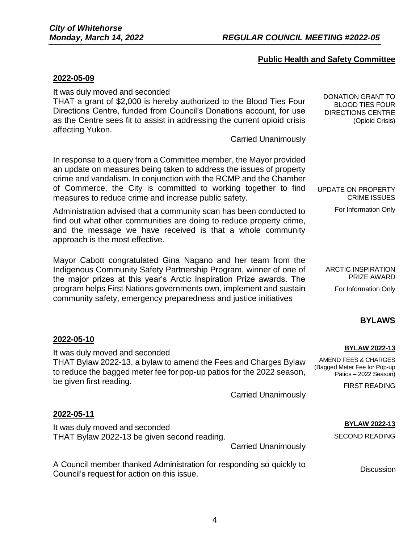## **Public Health and Safety Committee**

#### **2022-05-09**

It was duly moved and seconded

THAT a grant of \$2,000 is hereby authorized to the Blood Ties Four Directions Centre, funded from Council's Donations account, for use as the Centre sees fit to assist in addressing the current opioid crisis affecting Yukon.

Carried Unanimously

In response to a query from a Committee member, the Mayor provided an update on measures being taken to address the issues of property crime and vandalism. In conjunction with the RCMP and the Chamber of Commerce, the City is committed to working together to find measures to reduce crime and increase public safety.

Administration advised that a community scan has been conducted to find out what other communities are doing to reduce property crime, and the message we have received is that a whole community approach is the most effective.

Mayor Cabott congratulated Gina Nagano and her team from the Indigenous Community Safety Partnership Program, winner of one of the major prizes at this year's Arctic Inspiration Prize awards. The program helps First Nations governments own, implement and sustain community safety, emergency preparedness and justice initiatives

For Information Only

UPDATE ON PROPERTY

CRIME ISSUES

DONATION GRANT TO BLOOD TIES FOUR DIRECTIONS CENTRE

(Opioid Crisis)

ARCTIC INSPIRATION PRIZE AWARD For Information Only

## **BYLAWS**

#### **2022-05-10**

It was duly moved and seconded THAT Bylaw 2022-13, a bylaw to amend the Fees and Charges Bylaw to reduce the bagged meter fee for pop-up patios for the 2022 season, be given first reading. Carried Unanimously **BYLAW 2022-13** AMEND FEES & CHARGES (Bagged Meter Fee for Pop-up Patios – 2022 Season) FIRST READING **2022-05-11**

It was duly moved and seconded THAT Bylaw 2022-13 be given second reading.

Carried Unanimously

A Council member thanked Administration for responding so quickly to A Council's request for action on this issue.<br>Council's request for action on this issue.

**BYLAW 2022-13**

SECOND READING